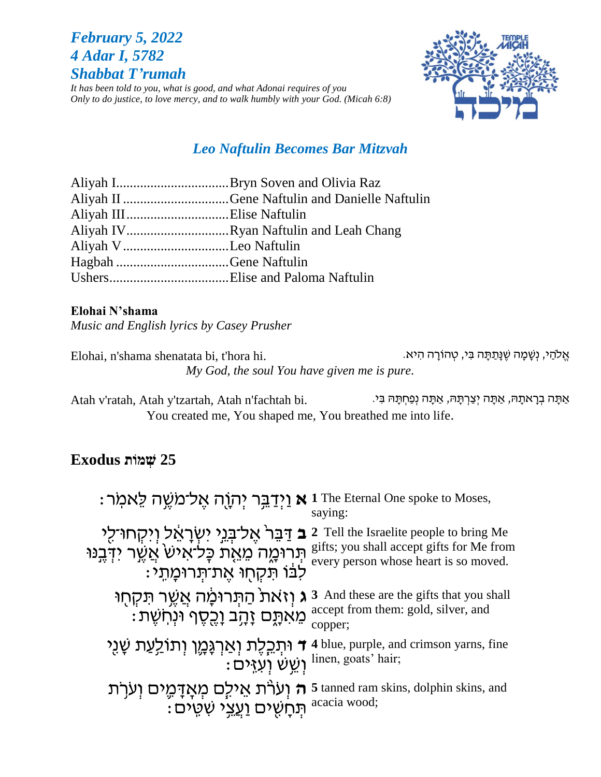# *February 5, 2022 4 Adar I, 5782 Shabbat T'rumah*

*It has been told to you, what is good, and what Adonai requires of you Only to do justice, to love mercy, and to walk humbly with your God. (Micah 6:8)*



# *Leo Naftulin Becomes Bar Mitzvah*

| Aliyah IIIElise Naftulin              |  |
|---------------------------------------|--|
| Aliyah IVRyan Naftulin and Leah Chang |  |
| Aliyah V Leo Naftulin                 |  |
| Hagbah Gene Naftulin                  |  |
|                                       |  |

#### **Elohai N'shama**

*Music and English lyrics by Casey Prusher*

אֱלֹהַי, נְשָׁמָה שֶׁנָּתַתָּה בִּי, טְהוֹרָה הִיא. . Elohai, n'shama shenatata bi, t'hora hi *My God, the soul You have given me is pure.*

Atah v'ratah, Atah y'tzartah, Atah n'fachtah bi. אַתָּה בְרָאתָהּ, אַתָּה יְצַרְתָּהּ, אֲמֶה יְצַרְתָּה, אַמָּ You created me, You shaped me, You breathed me into life.

# **25 שְׁ מֹות Exodus**

| : נַיְדַבֵּר יְהְוֶה אֱל־מֹשֶׁה לֵאמְר 1 The Eternal One spoke to Moses,                                                                | saying:                                                                                                                                           |
|-----------------------------------------------------------------------------------------------------------------------------------------|---------------------------------------------------------------------------------------------------------------------------------------------------|
| יקחו־לי 2 Tell the Israelite people to bring Me<br>תְּרוּמֶה מֵאֶת כָּלֹאִישׂ אֲשֶׁר יִדְּבֶנּוּ<br>ֹלֹבּוֹ תִּקְחָוּ אֱת־תְּרוּכָּותִי | gifts; you shall accept gifts for Me from<br>every person whose heart is so moved.                                                                |
| מֵאִתֶּם זָהָב וָכֶסֶף וּנְחִשֶּׁת:                                                                                                     | ו 3 And these are the gifts that you shall <b>ג</b> וְזאת הַתְּרוּכָ <i>ּי</i> ה אֲשֱר תַקְחָוּ<br>accept from them: gold, silver, and<br>copper; |
| יּתְבְלֶת וְאַרְגָּכְוָ וְתוֹלַעַת שָׁנֻי + 4 blue, purple, and crimson yarns, fine                                                     | : וַשֵּׂשׁ וְעֵזֶים linen, goats' hair;                                                                                                           |
| ה וְעֹרֹת אֵילָם מְאָדָמֶים וְעֹרָת 5 tanned ram skins, dolphin skins, and<br>: מְחָשִׁים וַעֲצִי שִׁטִים:                              |                                                                                                                                                   |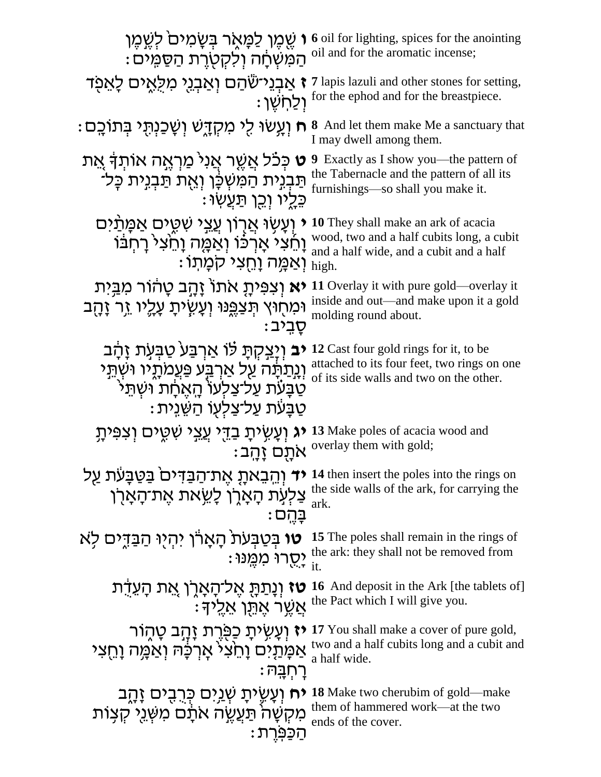| ְהַמְּשְׁחָׁה וְלִקְטְרֵת הַסַּמְיֹם:                                                                                                                                                     | י שֶׁמֶן לַמָּאָר בְּשָׂמִים <i>`</i> לְשֶׁמֶן (`` oil for lighting, spices for the anointing<br>המעלה ג'סטורת הסמירת oil and for the aromatic incense; |
|-------------------------------------------------------------------------------------------------------------------------------------------------------------------------------------------|---------------------------------------------------------------------------------------------------------------------------------------------------------|
| <b>ז</b> אַבְנֵי־שֶׁהַם וְאַבְנֵי מִלְאֵים לָאֵפָד                                                                                                                                        | 7 lapis lazuli and other stones for setting,<br>: לְחַשָּׁן for the ephod and for the breastpiece.                                                      |
| ּח וְעָשׂוּ לִי מִקְדָשׁ וְשָׁכַנְתֻּי בְּתוֹכָם :                                                                                                                                        | <b>8</b> And let them make Me a sanctuary that<br>I may dwell among them.                                                                               |
| ָ <b>ט</b> כִּכֹֿל אֲשֵׁר אֲנִי מַרְאֶה אוֹתְךָ אֵת<br>תַּבְנִית הַמִּשְׁכָּן וְאֶת תַּבְנִית כָּל־<br>ּבֵלֵיו וְכֵן תַּעֲשׂוּ :                                                          | Exactly as I show you—the pattern of<br>9<br>the Tabernacle and the pattern of all its<br>furnishings—so shall you make it.                             |
| י וְעָשָׂוּ אֲרֶוֹן עֲצֵי שִׁטֵים אַמֶּתַּיִם<br>וָחֵצִי אָרְכֹּוֹ וְאַמֶּה וָחֵצִי רָחְבֹּוֹ<br>ּוְאַמֶּה וַחֵצִי קֹמָתוֹ                                                                | <b>10</b> They shall make an ark of acacia<br>wood, two and a half cubits long, a cubit<br>and a half wide, and a cubit and a half<br>high.             |
| <b>יא</b> וְצְפִיתָ אתוֹ זָהָב טָהוֹר מְבֵיִת<br>וּמַחָוּץ תְּצַפֵּנוּ וְעָשְׂיתָ עָלֶיו זֵר זָהָב<br>ּסֻבִיב                                                                             | 11 Overlay it with pure gold—overlay it<br>inside and out—and make upon it a gold<br>molding round about.                                               |
| <b>יב</b> וְיַצִקְתָּ לוֹ אַרְבַּע טַבְעָת זָהָב<br><u>וְנְתַ</u> תְּׁה עַל אַרְבַּע פַּעֲמתָיו וּשִׁתֵּי<br>ּטַבַּעֹת עַל־צַלְעוֹ הָאֵחָת וּשְתֵל<br>ּטַבָּעֹׁת עַל־צַלְעָוֹ הַשֵּׁנְית: | 12 Cast four gold rings for it, to be<br>attached to its four feet, two rings on one<br>of its side walls and two on the other.                         |
| <b>יג</b> וְעָשְׂיתָ בַדֵּי עֲצֵי שִׁטֶים וְצִפִּיתָ                                                                                                                                      | 13 Make poles of acacia wood and<br>: אתַם <i>i</i> overlay them with gold;                                                                             |
| יד וְהֵבֵאתָ אֶת־הַבַּדִּים בַּטַּבָּעֹת עַל<br>צַלִּעְת הָאָרֶן לָשֵׂאת אֶת־הָאָרֶן<br>בַּהֵם :                                                                                          | 14 then insert the poles into the rings on<br>the side walls of the ark, for carrying the<br>ark.                                                       |
| <b>טו</b> בְּטַבְּעֹת הָאָרו יִהְיִוּ הַבַּדְיִם לִא                                                                                                                                      | 15 The poles shall remain in the rings of<br>: יְחֻרוּ מַמֶּנוּ the ark: they shall not be removed from                                                 |
| טז וְנַתַּתְּ אֱל־הַאֲרֶן אֶת הַעֲדָת<br>: אַשֵׁר אֵתֵּן אֲלֵיד                                                                                                                           | <b>16</b> And deposit in the Ark [the tablets of]<br>the Pact which I will give you.                                                                    |
| יז וְעָשְׂיתָ כַּפְּרֶת זָהֲב טָהֶוֹר<br>אַמָּתַיִם וָהֵצִי אָרְכָּהּ וְאַמֶּה וָהֵצִי<br>רַחְבַּה:                                                                                       | 17 You shall make a cover of pure gold,<br>two and a half cubits long and a cubit and<br>a half wide.                                                   |
| <b>יח</b> וְעָשֶׂיתָ שְׁנַיִם כְּרֻבֻים זָהֶב<br>מִקְשָּׁה תַּעֲשֶׂה אֹתָם מִשְּׁנֵי קְצָוֹת<br>ּהַכַּפְּרֵת                                                                              | <b>18</b> Make two cherubim of gold—make<br>them of hammered work—at the two<br>ends of the cover.                                                      |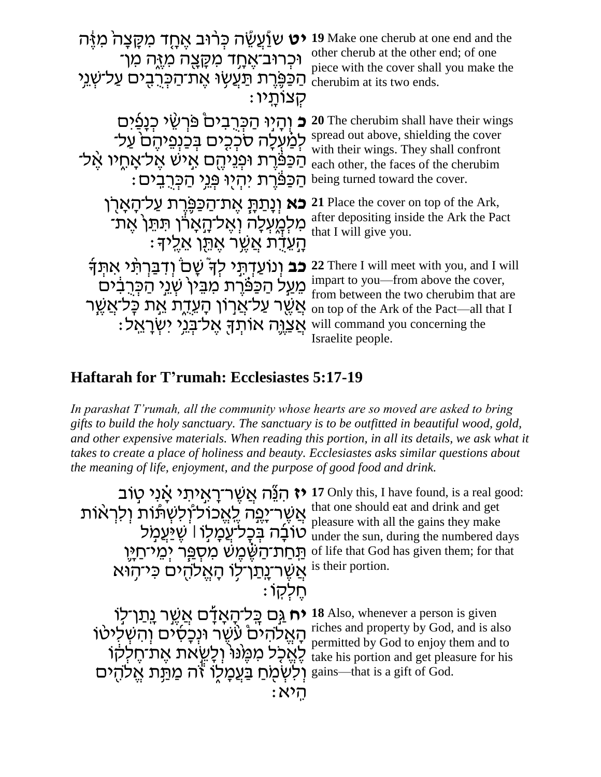| <b>ָט</b> שוַֿעֲשֶׂה כִּרוּב אֵחָד מִקָּצָה מִיֶּה                                                                                                                                                      | 19 Make one cherub at one end and the                                                                                                                                                                                          |
|---------------------------------------------------------------------------------------------------------------------------------------------------------------------------------------------------------|--------------------------------------------------------------------------------------------------------------------------------------------------------------------------------------------------------------------------------|
| וּכִרוּב־אֵחֶד מִקָּצָה מִזֶּה מִן־                                                                                                                                                                     | other cherub at the other end; of one                                                                                                                                                                                          |
| הַכַּפֵּרֶת תַּעֲשֶׂוּ אֶת־הַכְּרְבִים עַל־שָׁנֵי                                                                                                                                                       | piece with the cover shall you make the                                                                                                                                                                                        |
| קצותַיו:                                                                                                                                                                                                | cherubim at its two ends.                                                                                                                                                                                                      |
| וְהָיִוּ הַכִּרְבִים כּוּרְשֵׂי כְנָפַ֫יִּם<br>לְמַ֫עְלָה סֹכְכִים בְּכַנְפֵיהֶם עַל־<br>הַכַּפּֿרֶת וּפְנֵיהֶם אֵישׁ אֱל־אָחֶיו אֱל־<br>ּהַכַּפּׂרֶת יִהְיִוּ פְּנֵי הַכְּרֶבֵים :                     | <b>20</b> The cherubim shall have their wings<br>spread out above, shielding the cover<br>with their wings. They shall confront<br>each other, the faces of the cherubim<br>being turned toward the cover.                     |
| <b>כא</b> וְנָתַתָּ אֶת־הַכַּפְּרֵת עַל־הָאַרן                                                                                                                                                          | 21 Place the cover on top of the Ark,                                                                                                                                                                                          |
| מִלְמָעְלָה וְאֶל־הָאָרֹן תִּתֵּן אֶת־                                                                                                                                                                  | after depositing inside the Ark the Pact                                                                                                                                                                                       |
| ָהָעֲדָׁת אֲשֶׁר אֶתֶּן אֱלֵידּ                                                                                                                                                                         | that I will give you.                                                                                                                                                                                                          |
| <b>כב</b> וְנוֹעֲדְתֶי לִךְ ּשָׁם וִדְבַּרְתָּי אַתְּךָ<br>מֵעַל הַכַּפּוֶרת מִבֵּין <sup>י</sup> שְׁגֵי הַכְּרֻבִיּם<br>אֲשֶׁר עַל־אֲרְוֹן הָעֲדֶת אֶת כָּל־אֲשֵׁר<br>אַצוַה אותך אַל־בַּנֵי יִשְרָאֵל | 22 There I will meet with you, and I will<br>impart to you—from above the cover,<br>from between the two cherubim that are<br>on top of the Ark of the Pact—all that I<br>will command you concerning the<br>Israelite people. |

# **Haftarah for T'rumah: Ecclesiastes 5:17-19**

*In parashat T'rumah, all the community whose hearts are so moved are asked to bring gifts to build the holy sanctuary. The sanctuary is to be outfitted in beautiful wood, gold, and other expensive materials. When reading this portion, in all its details, we ask what it takes to create a place of holiness and beauty. Ecclesiastes asks similar questions about the meaning of life, enjoyment, and the purpose of good food and drink.*

**יז** הִנֵּׁה אֲשֶׁר־רָאָיתִי אָׂנִי טָוֹב אֲשֶׁר־יָפֶה לֶאֱכול־וְלִשְתּוֹת וְלִרְאֹות " ֿטֹוֹבָۢה בְּכָל<sup>ַ</sup>עֲמָלָו<sup>ּ</sup> שֶׁיַּעֲמָל ּוּ תַּחַת־הַשֶּׂמֶשׁ מִסְפֵּר יְמֵי־חַיָּוָ אֲשֶׁר־<u>ִנְת</u>ֹּך־לָו הָאֱלֹהֻים כִּי־הָוּא ּחֵלְקוֹ : **יח ַ**גְּם בְּלִיהָאָדָם אֲשֶׁר <u>גְת</u>ּו־לִוּ ֿהָ הָאֱלֹהִים עִּשֶׁר וּנְכָסִים וְהִשְלִיטֹו ֹלֶאֱכָל מִכֶּוּוּ וְלָשֵׂאת אֶת־חֶלְקוֹ וְלִשְׁמָחַ בַּעֲמָלֶוֹ זֹה מַתַּ֣ת אֱלֹהֻים : היא

**17** Only this, I have found, is a real good: that one should eat and drink and get pleasure with all the gains they make under the sun, during the numbered days of life that God has given them; for that is their portion.

**18** Also, whenever a person is given riches and property by God, and is also permitted by God to enjoy them and to take his portion and get pleasure for his gains—that is a gift of God.